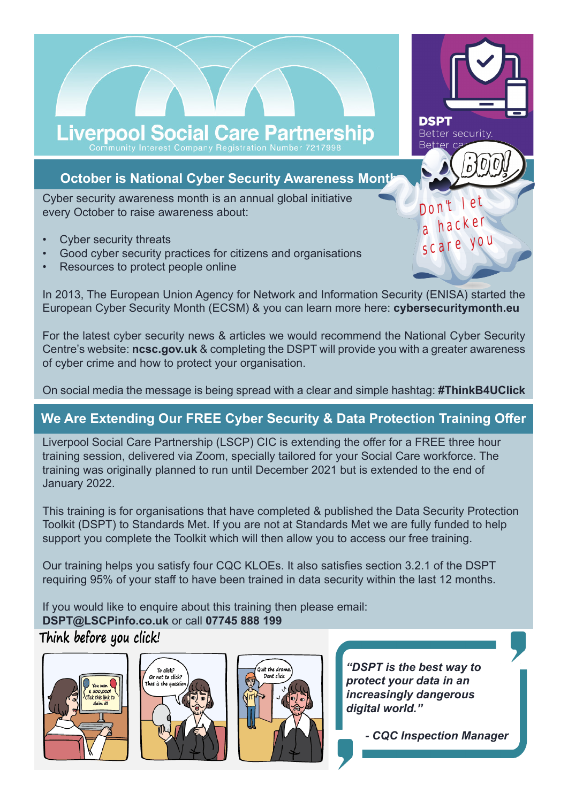# Liverpool Social Care Partnership

# **October is National Cyber Security Awareness Month**

Cyber security awareness month is an annual global initiative every October to raise awareness about:

- Cyber security threats
- Good cyber security practices for citizens and organisations
- Resources to protect people online

In 2013, The European Union Agency for Network and Information Security (ENISA) started the European Cyber Security Month (ECSM) & you can learn more here: **cybersecuritymonth.eu**

For the latest cyber security news & articles we would recommend the National Cyber Security Centre's website: **ncsc.gov.uk** & completing the DSPT will provide you with a greater awareness of cyber crime and how to protect your organisation.

On social media the message is being spread with a clear and simple hashtag: **#ThinkB4UClick**

# **We Are Extending Our FREE Cyber Security & Data Protection Training Offer**

Liverpool Social Care Partnership (LSCP) CIC is extending the offer for a FREE three hour training session, delivered via Zoom, specially tailored for your Social Care workforce. The training was originally planned to run until December 2021 but is extended to the end of January 2022.

This training is for organisations that have completed & published the Data Security Protection Toolkit (DSPT) to Standards Met. If you are not at Standards Met we are fully funded to help support you complete the Toolkit which will then allow you to access our free training.

Our training helps you satisfy four CQC KLOEs. It also satisfies section 3.2.1 of the DSPT requiring 95% of your staff to have been trained in data security within the last 12 months.

If you would like to enquire about this training then please email: **DSPT@LSCPinfo.co.uk** or call **07745 888 199**

# Think before you click!







*"DSPT is the best way to protect your data in an increasingly dangerous digital world."*



SCARE YOU

DON'T LET

**Better security** 

**DSPT** 

Better c

a hacker